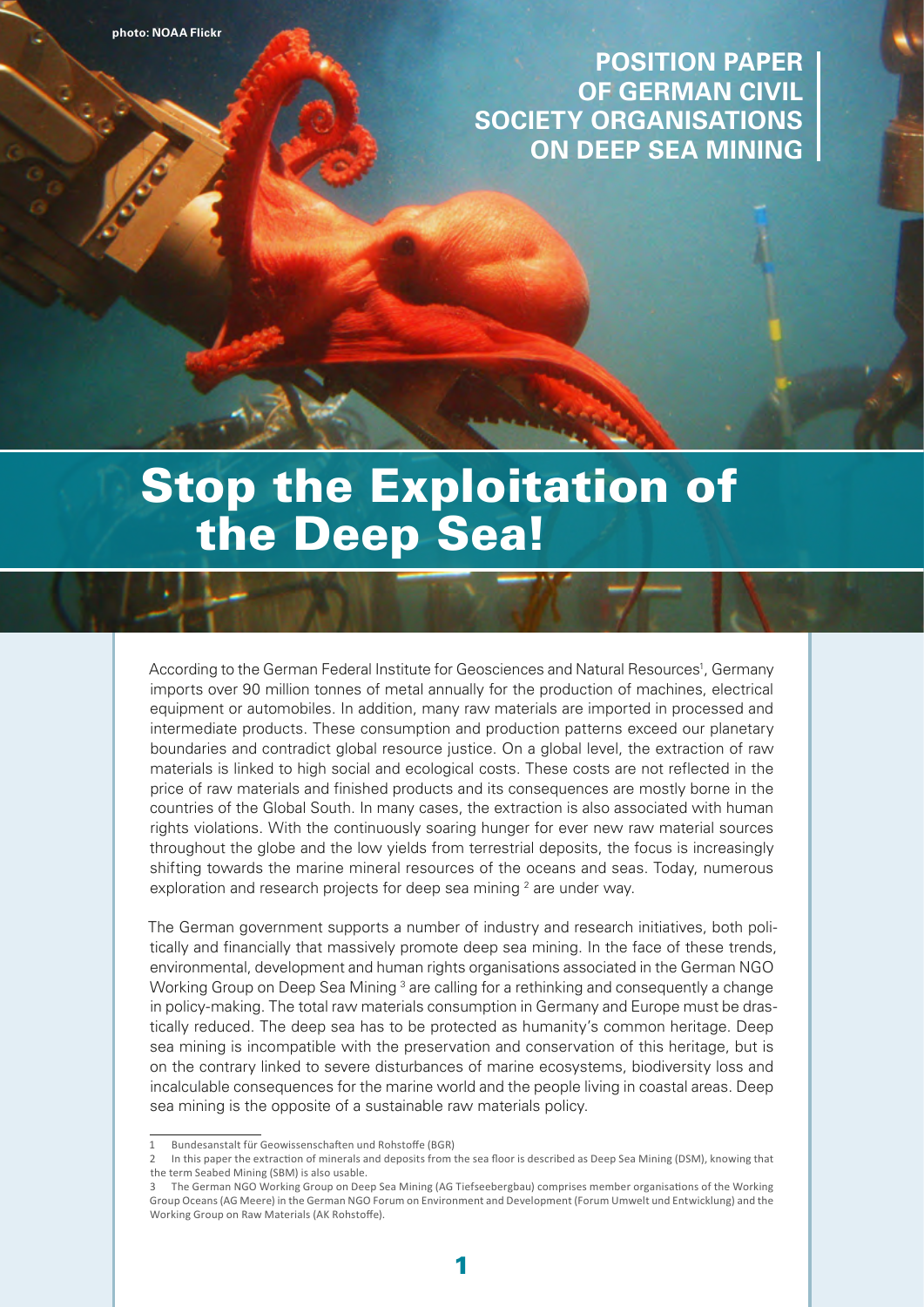**POSITION PAPER OF GERMAN CIVIL SOCIETY ORGANISATIONS ON DEEP SEA MINING** 

# Stop the Exploitation of the Deep Sea!

According to the German Federal Institute for Geosciences and Natural Resources<sup>1</sup>, Germany imports over 90 million tonnes of metal annually for the production of machines, electrical equipment or automobiles. In addition, many raw materials are imported in processed and intermediate products. These consumption and production patterns exceed our planetary boundaries and contradict global resource justice. On a global level, the extraction of raw materials is linked to high social and ecological costs. These costs are not reflected in the price of raw materials and finished products and its consequences are mostly borne in the countries of the Global South. In many cases, the extraction is also associated with human rights violations. With the continuously soaring hunger for ever new raw material sources throughout the globe and the low yields from terrestrial deposits, the focus is increasingly shifting towards the marine mineral resources of the oceans and seas. Today, numerous exploration and research projects for deep sea mining  $2$  are under way.

The German government supports a number of industry and research initiatives, both politically and financially that massively promote deep sea mining. In the face of these trends, environmental, development and human rights organisations associated in the German NGO Working Group on Deep Sea Mining <sup>3</sup> are calling for a rethinking and consequently a change in policy-making. The total raw materials consumption in Germany and Europe must be drastically reduced. The deep sea has to be protected as humanity's common heritage. Deep sea mining is incompatible with the preservation and conservation of this heritage, but is on the contrary linked to severe disturbances of marine ecosystems, biodiversity loss and incalculable consequences for the marine world and the people living in coastal areas. Deep sea mining is the opposite of a sustainable raw materials policy.

Bundesanstalt für Geowissenschaften und Rohstoffe (BGR)

In this paper the extraction of minerals and deposits from the sea floor is described as Deep Sea Mining (DSM), knowing that the term Seabed Mining (SBM) is also usable.

<sup>3</sup> The German NGO Working Group on Deep Sea Mining (AG Tiefseebergbau) comprises member organisations of the Working Group Oceans(AG Meere) in the German NGO Forum on Environment and Development (Forum Umwelt und Entwicklung) and the Working Group on Raw Materials (AK Rohstoffe).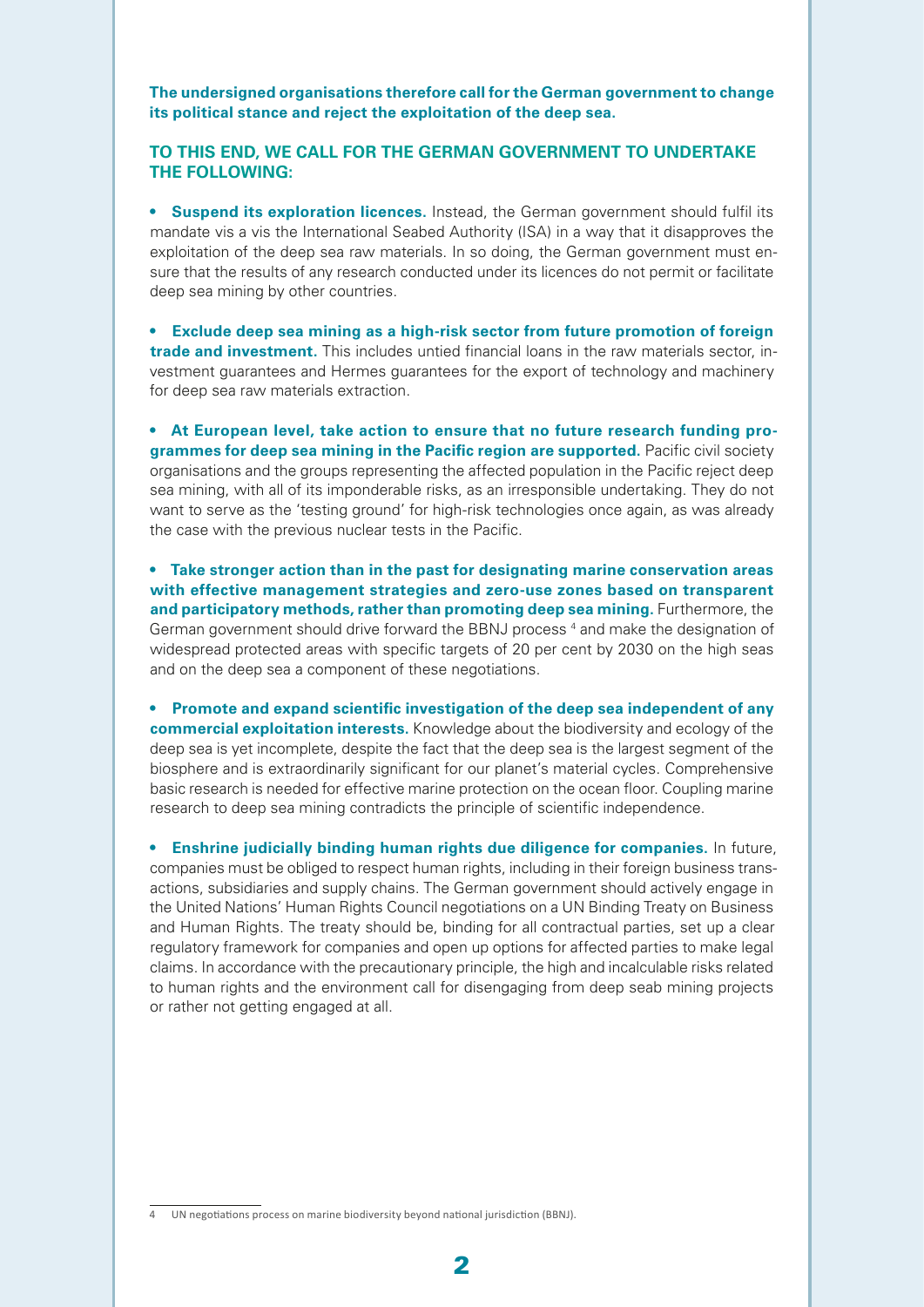**The undersigned organisations therefore call for the German government to change its political stance and reject the exploitation of the deep sea.**

#### **TO THIS END, WE CALL FOR THE GERMAN GOVERNMENT TO UNDERTAKE THE FOLLOWING:**

**• Suspend its exploration licences.** Instead, the German government should fulfil its mandate vis a vis the International Seabed Authority (ISA) in a way that it disapproves the exploitation of the deep sea raw materials. In so doing, the German government must ensure that the results of any research conducted under its licences do not permit or facilitate deep sea mining by other countries.

**• Exclude deep sea mining as a high-risk sector from future promotion of foreign trade and investment.** This includes untied financial loans in the raw materials sector, investment guarantees and Hermes guarantees for the export of technology and machinery for deep sea raw materials extraction.

**• At European level, take action to ensure that no future research funding programmes for deep sea mining in the Pacific region are supported.** Pacific civil society organisations and the groups representing the affected population in the Pacific reject deep sea mining, with all of its imponderable risks, as an irresponsible undertaking. They do not want to serve as the 'testing ground' for high-risk technologies once again, as was already the case with the previous nuclear tests in the Pacific.

**• Take stronger action than in the past for designating marine conservation areas with effective management strategies and zero-use zones based on transparent and participatory methods, rather than promoting deep sea mining.** Furthermore, the German government should drive forward the BBNJ process<sup>4</sup> and make the designation of widespread protected areas with specific targets of 20 per cent by 2030 on the high seas and on the deep sea a component of these negotiations.

**• Promote and expand scientific investigation of the deep sea independent of any commercial exploitation interests.** Knowledge about the biodiversity and ecology of the deep sea is yet incomplete, despite the fact that the deep sea is the largest segment of the biosphere and is extraordinarily significant for our planet's material cycles. Comprehensive basic research is needed for effective marine protection on the ocean floor. Coupling marine research to deep sea mining contradicts the principle of scientific independence.

**• Enshrine judicially binding human rights due diligence for companies.** In future, companies must be obliged to respect human rights, including in their foreign business transactions, subsidiaries and supply chains. The German government should actively engage in the United Nations' Human Rights Council negotiations on a UN Binding Treaty on Business and Human Rights. The treaty should be, binding for all contractual parties, set up a clear regulatory framework for companies and open up options for affected parties to make legal claims. In accordance with the precautionary principle, the high and incalculable risks related to human rights and the environment call for disengaging from deep seab mining projects or rather not getting engaged at all.

UN negotiations process on marine biodiversity beyond national jurisdiction (BBNJ).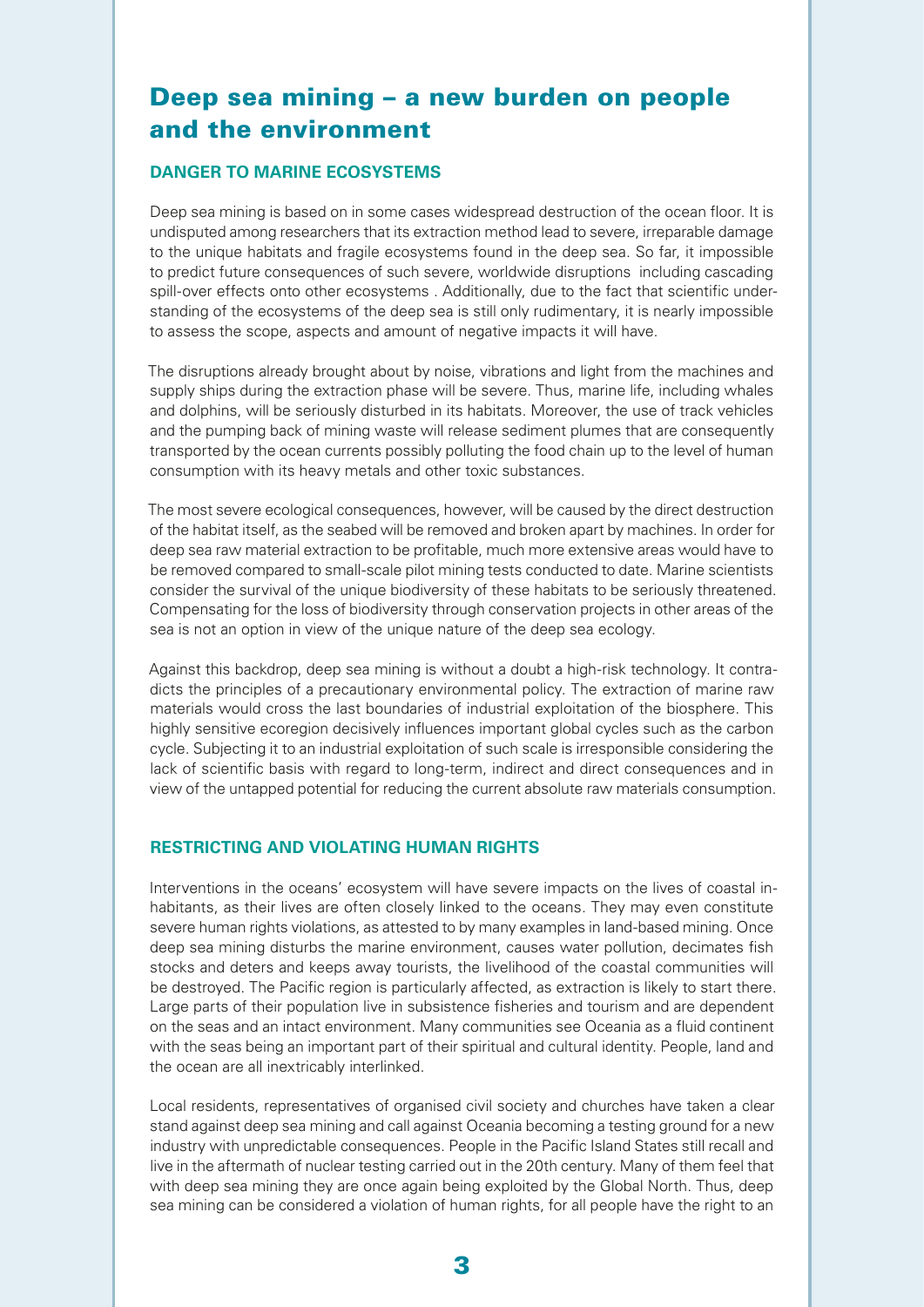# Deep sea mining – a new burden on people and the environment

## **DANGER TO MARINE ECOSYSTEMS**

Deep sea mining is based on in some cases widespread destruction of the ocean floor. It is undisputed among researchers that its extraction method lead to severe, irreparable damage to the unique habitats and fragile ecosystems found in the deep sea. So far, it impossible to predict future consequences of such severe, worldwide disruptions including cascading spill-over effects onto other ecosystems . Additionally, due to the fact that scientific understanding of the ecosystems of the deep sea is still only rudimentary, it is nearly impossible to assess the scope, aspects and amount of negative impacts it will have.

The disruptions already brought about by noise, vibrations and light from the machines and supply ships during the extraction phase will be severe. Thus, marine life, including whales and dolphins, will be seriously disturbed in its habitats. Moreover, the use of track vehicles and the pumping back of mining waste will release sediment plumes that are consequently transported by the ocean currents possibly polluting the food chain up to the level of human consumption with its heavy metals and other toxic substances.

The most severe ecological consequences, however, will be caused by the direct destruction of the habitat itself, as the seabed will be removed and broken apart by machines. In order for deep sea raw material extraction to be profitable, much more extensive areas would have to be removed compared to small-scale pilot mining tests conducted to date. Marine scientists consider the survival of the unique biodiversity of these habitats to be seriously threatened. Compensating for the loss of biodiversity through conservation projects in other areas of the sea is not an option in view of the unique nature of the deep sea ecology.

Against this backdrop, deep sea mining is without a doubt a high-risk technology. It contradicts the principles of a precautionary environmental policy. The extraction of marine raw materials would cross the last boundaries of industrial exploitation of the biosphere. This highly sensitive ecoregion decisively influences important global cycles such as the carbon cycle. Subjecting it to an industrial exploitation of such scale is irresponsible considering the lack of scientific basis with regard to long-term, indirect and direct consequences and in view of the untapped potential for reducing the current absolute raw materials consumption.

# **RESTRICTING AND VIOLATING HUMAN RIGHTS**

Interventions in the oceans' ecosystem will have severe impacts on the lives of coastal inhabitants, as their lives are often closely linked to the oceans. They may even constitute severe human rights violations, as attested to by many examples in land-based mining. Once deep sea mining disturbs the marine environment, causes water pollution, decimates fish stocks and deters and keeps away tourists, the livelihood of the coastal communities will be destroyed. The Pacific region is particularly affected, as extraction is likely to start there. Large parts of their population live in subsistence fisheries and tourism and are dependent on the seas and an intact environment. Many communities see Oceania as a fluid continent with the seas being an important part of their spiritual and cultural identity. People, land and the ocean are all inextricably interlinked.

Local residents, representatives of organised civil society and churches have taken a clear stand against deep sea mining and call against Oceania becoming a testing ground for a new industry with unpredictable consequences. People in the Pacific Island States still recall and live in the aftermath of nuclear testing carried out in the 20th century. Many of them feel that with deep sea mining they are once again being exploited by the Global North. Thus, deep sea mining can be considered a violation of human rights, for all people have the right to an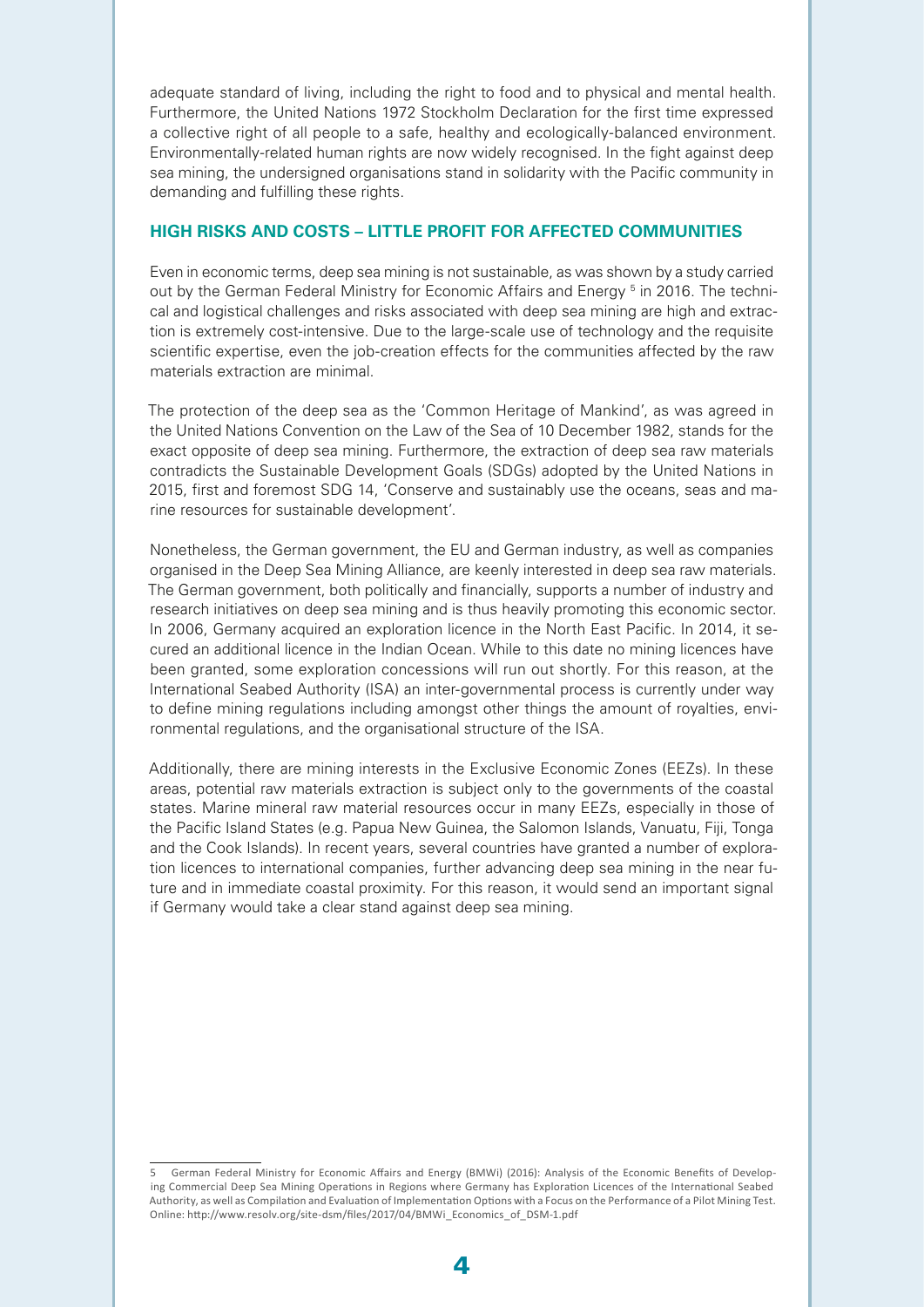adequate standard of living, including the right to food and to physical and mental health. Furthermore, the United Nations 1972 Stockholm Declaration for the first time expressed a collective right of all people to a safe, healthy and ecologically-balanced environment. Environmentally-related human rights are now widely recognised. In the fight against deep sea mining, the undersigned organisations stand in solidarity with the Pacific community in demanding and fulfilling these rights.

#### **HIGH RISKS AND COSTS – LITTLE PROFIT FOR AFFECTED COMMUNITIES**

Even in economic terms, deep sea mining is not sustainable, as was shown by a study carried out by the German Federal Ministry for Economic Affairs and Energy <sup>5</sup> in 2016. The technical and logistical challenges and risks associated with deep sea mining are high and extraction is extremely cost-intensive. Due to the large-scale use of technology and the requisite scientific expertise, even the job-creation effects for the communities affected by the raw materials extraction are minimal.

The protection of the deep sea as the 'Common Heritage of Mankind', as was agreed in the United Nations Convention on the Law of the Sea of 10 December 1982, stands for the exact opposite of deep sea mining. Furthermore, the extraction of deep sea raw materials contradicts the Sustainable Development Goals (SDGs) adopted by the United Nations in 2015, first and foremost SDG 14, 'Conserve and sustainably use the oceans, seas and marine resources for sustainable development'.

Nonetheless, the German government, the EU and German industry, as well as companies organised in the Deep Sea Mining Alliance, are keenly interested in deep sea raw materials. The German government, both politically and financially, supports a number of industry and research initiatives on deep sea mining and is thus heavily promoting this economic sector. In 2006, Germany acquired an exploration licence in the North East Pacific. In 2014, it secured an additional licence in the Indian Ocean. While to this date no mining licences have been granted, some exploration concessions will run out shortly. For this reason, at the International Seabed Authority (ISA) an inter-governmental process is currently under way to define mining regulations including amongst other things the amount of royalties, environmental regulations, and the organisational structure of the ISA.

Additionally, there are mining interests in the Exclusive Economic Zones (EEZs). In these areas, potential raw materials extraction is subject only to the governments of the coastal states. Marine mineral raw material resources occur in many EEZs, especially in those of the Pacific Island States (e.g. Papua New Guinea, the Salomon Islands, Vanuatu, Fiji, Tonga and the Cook Islands). In recent years, several countries have granted a number of exploration licences to international companies, further advancing deep sea mining in the near future and in immediate coastal proximity. For this reason, it would send an important signal if Germany would take a clear stand against deep sea mining.

<sup>5</sup> German Federal Ministry for Economic Affairs and Energy (BMWi) (2016): Analysis of the Economic Benefits of Developing Commercial Deep Sea Mining Operations in Regions where Germany has Exploration Licences of the International Seabed Authority, as well as Compilation and Evaluation of Implementation Options with a Focus on the Performance of a Pilot Mining Test. Online: http://www.resolv.org/site-dsm/files/2017/04/BMWi\_Economics\_of\_DSM-1.pdf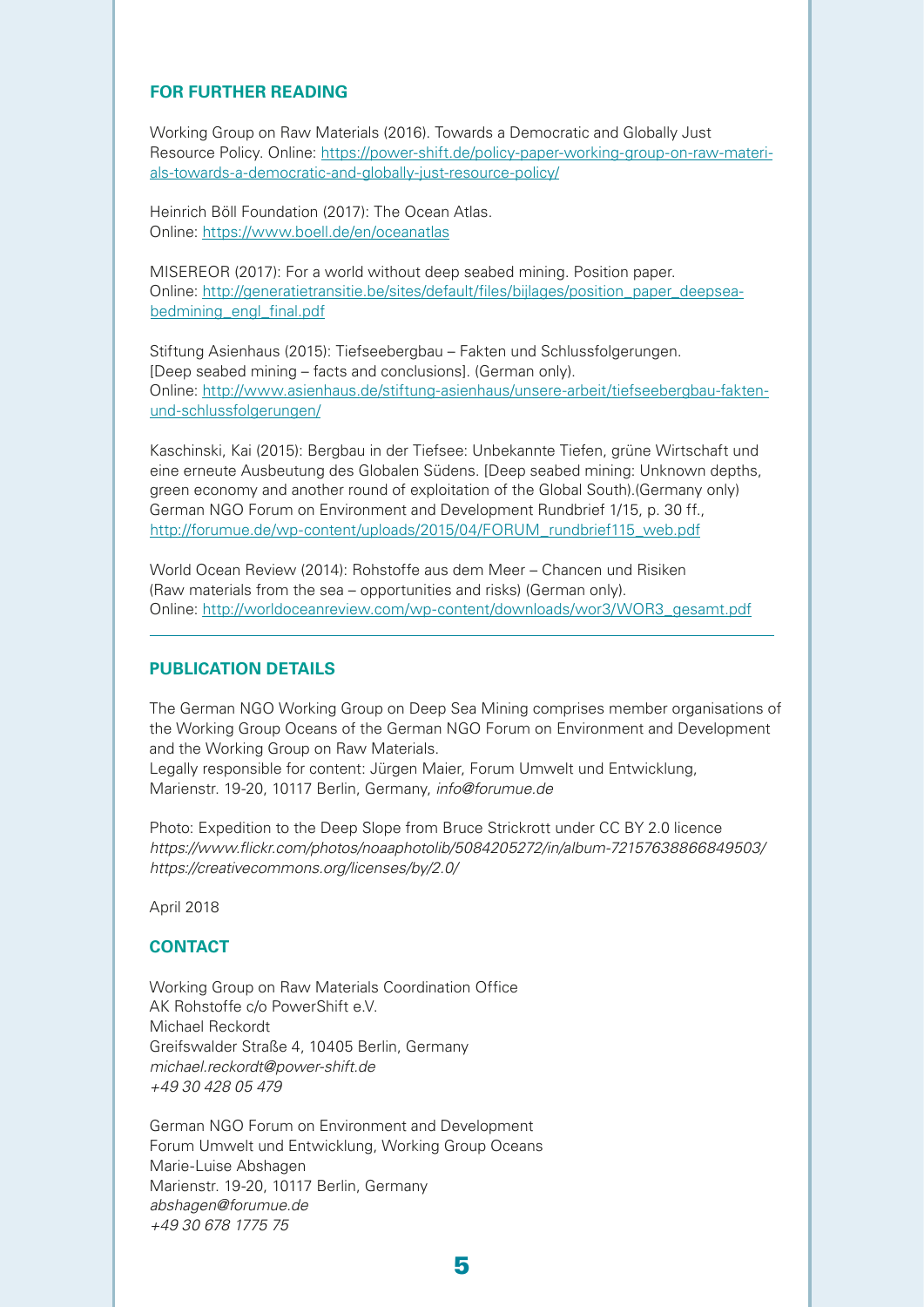#### **FOR FURTHER READING**

Working Group on Raw Materials (2016). Towards a Democratic and Globally Just Resource Policy. Online: [https://power-shift.de/policy-paper-working-group-on-raw-materi](https://power-shift.de/policy-paper-working-group-on-raw-materials-towards-a-democratic-and-globally-just-resource-policy/)[als-towards-a-democratic-and-globally-just-resource-policy/](https://power-shift.de/policy-paper-working-group-on-raw-materials-towards-a-democratic-and-globally-just-resource-policy/)

Heinrich Böll Foundation (2017): The Ocean Atlas. Online:<https://www.boell.de/en/oceanatlas>

MISEREOR (2017): For a world without deep seabed mining. Position paper. Online: [http://generatietransitie.be/sites/default/files/bijlages/position\\_paper\\_deepsea](http://generatietransitie.be/sites/default/files/bijlages/position_paper_deepseabedmining_engl_final.pdf)[bedmining\\_engl\\_final.pdf](http://generatietransitie.be/sites/default/files/bijlages/position_paper_deepseabedmining_engl_final.pdf)

Stiftung Asienhaus (2015): Tiefseebergbau – Fakten und Schlussfolgerungen. [Deep seabed mining – facts and conclusions]. (German only). Online: [http://www.asienhaus.de/stiftung-asienhaus/unsere-arbeit/tiefseebergbau-fakten](http://www.asienhaus.de/stiftung-asienhaus/unsere-arbeit/tiefseebergbau-fakten-und-schlussfolgerungen/)[und-schlussfolgerungen/](http://www.asienhaus.de/stiftung-asienhaus/unsere-arbeit/tiefseebergbau-fakten-und-schlussfolgerungen/)

Kaschinski, Kai (2015): Bergbau in der Tiefsee: Unbekannte Tiefen, grüne Wirtschaft und eine erneute Ausbeutung des Globalen Südens. [Deep seabed mining: Unknown depths, green economy and another round of exploitation of the Global South).(Germany only) German NGO Forum on Environment and Development Rundbrief 1/15, p. 30 ff., [http://forumue.de/wp-content/uploads/2015/04/FORUM\\_rundbrief115\\_web.pdf](http://forumue.de/wp-content/uploads/2015/04/FORUM_rundbrief115_web.pdf)

World Ocean Review (2014): Rohstoffe aus dem Meer – Chancen und Risiken (Raw materials from the sea – opportunities and risks) (German only). Online: [http://worldoceanreview.com/wp-content/downloads/wor3/WOR3\\_gesamt.pdf](http://worldoceanreview.com/wp-content/downloads/wor3/WOR3_gesamt.pdf)

### **PUBLICATION DETAILS**

The German NGO Working Group on Deep Sea Mining comprises member organisations of the Working Group Oceans of the German NGO Forum on Environment and Development and the Working Group on Raw Materials.

Legally responsible for content: Jürgen Maier, Forum Umwelt und Entwicklung, Marienstr. 19-20, 10117 Berlin, Germany, *[info@forumue.de](mailto:info%40forumue.de?subject=)*

Photo: Expedition to the Deep Slope from Bruce Strickrott under CC BY 2.0 licence <https://www.flickr.com/photos/noaaphotolib/5084205272/in/album-72157638866849503/> <https://creativecommons.org/licenses/by/2.0/>

April 2018

## **CONTACT**

Working Group on Raw Materials Coordination Office AK Rohstoffe c/o PowerShift e.V. Michael Reckordt Greifswalder Straße 4, 10405 Berlin, Germany michael.reckordt@power-shift.de +49 30 428 05 479

German NGO Forum on Environment and Development Forum Umwelt und Entwicklung, Working Group Oceans Marie-Luise Abshagen Marienstr. 19-20, 10117 Berlin, Germany abshagen@forumue.de +49 30 678 1775 75